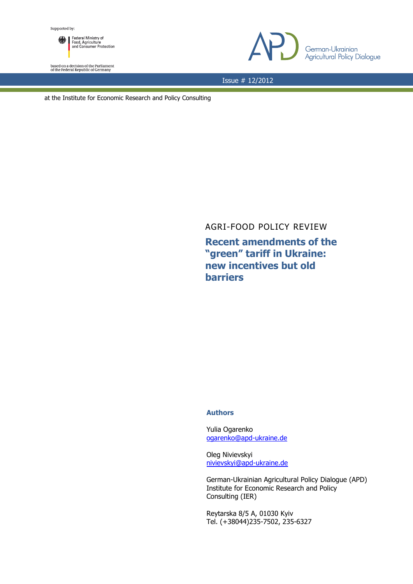

based on a decision of the Parliament<br>of the Federal Republic of Germany



Issue # 12/2012

at the Institute for Economic Research and Policy Consulting

AGRI-FOOD POLICY REVIEW

**Recent amendments of the "green" tariff in Ukraine: new incentives but old barriers** 

## **Authors**

Yulia Ogarenko [ogarenko@apd-ukraine.de](mailto:ogarenko@apd-ukraine.de)

Oleg Nivievskyi [nivievskyi@apd-ukraine.de](mailto:nivievskyi@apd-ukraine.de)

German-Ukrainian Agricultural Policy Dialogue (APD) Institute for Economic Research and Policy Consulting (IER)

Reytarska 8/5 A, 01030 Kyiv Tel. (+38044)235-7502, 235-6327